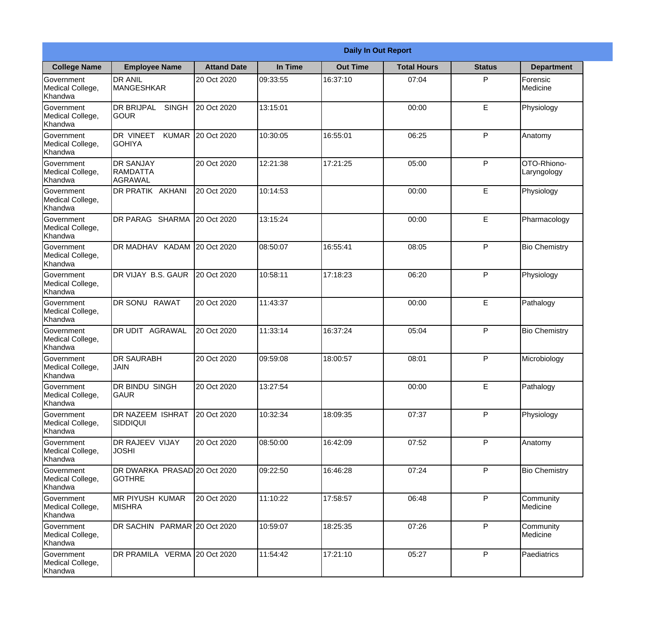|                                                  |                                                   |                    |          | <b>Daily In Out Report</b> |                    |               |                            |
|--------------------------------------------------|---------------------------------------------------|--------------------|----------|----------------------------|--------------------|---------------|----------------------------|
| <b>College Name</b>                              | <b>Employee Name</b>                              | <b>Attand Date</b> | In Time  | <b>Out Time</b>            | <b>Total Hours</b> | <b>Status</b> | <b>Department</b>          |
| Government<br>Medical College,<br>Khandwa        | <b>DR ANIL</b><br><b>MANGESHKAR</b>               | 20 Oct 2020        | 09:33:55 | 16:37:10                   | 07:04              | P             | Forensic<br>Medicine       |
| Government<br>Medical College,<br>Khandwa        | <b>DR BRIJPAL</b><br><b>SINGH</b><br> GOUR        | 20 Oct 2020        | 13:15:01 |                            | 00:00              | E             | Physiology                 |
| <b>Government</b><br>Medical College,<br>Khandwa | <b>DR VINEET</b><br><b>KUMAR</b><br><b>GOHIYA</b> | 20 Oct 2020        | 10:30:05 | 16:55:01                   | 06:25              | P             | Anatomy                    |
| <b>Government</b><br>Medical College,<br>Khandwa | <b>DR SANJAY</b><br>RAMDATTA<br><b>AGRAWAL</b>    | 20 Oct 2020        | 12:21:38 | 17:21:25                   | 05:00              | P             | OTO-Rhiono-<br>Laryngology |
| Government<br>Medical College,<br>Khandwa        | <b>DR PRATIK AKHANI</b>                           | 20 Oct 2020        | 10:14:53 |                            | 00:00              | E             | Physiology                 |
| Government<br>Medical College,<br>Khandwa        | DR PARAG SHARMA                                   | 20 Oct 2020        | 13:15:24 |                            | 00:00              | E             | Pharmacology               |
| <b>Government</b><br>Medical College,<br>Khandwa | DR MADHAV KADAM 20 Oct 2020                       |                    | 08:50:07 | 16:55:41                   | 08:05              | P             | <b>Bio Chemistry</b>       |
| <b>Government</b><br>Medical College,<br>Khandwa | DR VIJAY B.S. GAUR                                | 20 Oct 2020        | 10:58:11 | 17:18:23                   | 06:20              | P             | Physiology                 |
| Government<br>Medical College,<br>Khandwa        | DR SONU<br><b>RAWAT</b>                           | 20 Oct 2020        | 11:43:37 |                            | 00:00              | E             | Pathalogy                  |
| Government<br>Medical College,<br>Khandwa        | <b>AGRAWAL</b><br>IDR UDIT                        | 20 Oct 2020        | 11:33:14 | 16:37:24                   | 05:04              | P             | <b>Bio Chemistry</b>       |
| Government<br>Medical College,<br>Khandwa        | IDR SAURABH<br><b>JAIN</b>                        | 20 Oct 2020        | 09:59:08 | 18:00:57                   | 08:01              | P             | Microbiology               |
| Government<br>Medical College,<br>Khandwa        | <b>DR BINDU SINGH</b><br><b>GAUR</b>              | 20 Oct 2020        | 13:27:54 |                            | 00:00              | E             | Pathalogy                  |
| Government<br>Medical College,<br>Khandwa        | <b>DR NAZEEM ISHRAT</b><br><b>SIDDIQUI</b>        | 20 Oct 2020        | 10:32:34 | 18:09:35                   | 07:37              | P             | Physiology                 |
| Government<br>Medical College,<br>Khandwa        | <b>DR RAJEEV VIJAY</b><br><b>JOSHI</b>            | 20 Oct 2020        | 08:50:00 | 16:42:09                   | 07:52              | P             | Anatomy                    |
| <b>Government</b><br>Medical College,<br>Khandwa | DR DWARKA PRASAD 20 Oct 2020<br><b>GOTHRE</b>     |                    | 09:22:50 | 16:46:28                   | 07:24              | $\mathsf{P}$  | <b>Bio Chemistry</b>       |
| Government<br>Medical College,<br>Khandwa        | <b>MR PIYUSH KUMAR</b><br><b>MISHRA</b>           | 20 Oct 2020        | 11:10:22 | 17:58:57                   | 06:48              | P             | Community<br>Medicine      |
| Government<br>Medical College,<br>Khandwa        | DR SACHIN PARMAR 20 Oct 2020                      |                    | 10:59:07 | 18:25:35                   | 07:26              | P             | Community<br>Medicine      |
| Government<br>Medical College,<br>Khandwa        | DR PRAMILA VERMA 20 Oct 2020                      |                    | 11:54:42 | 17:21:10                   | 05:27              | P             | Paediatrics                |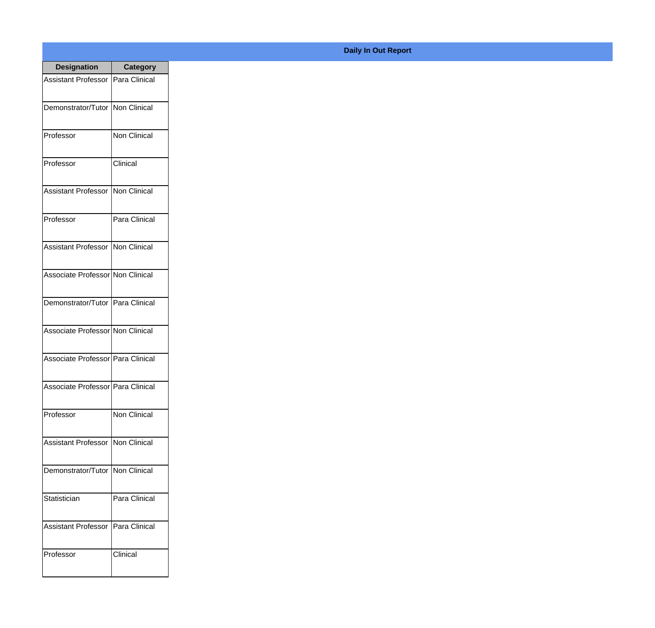| <b>Designation</b>                  | <b>Category</b>     |
|-------------------------------------|---------------------|
| <b>Assistant Professor</b>          | Para Clinical       |
| Demonstrator/Tutor                  | Non Clinical        |
| Professor                           | Non Clinical        |
| Professor                           | Clinical            |
| <b>Assistant Professor</b>          | Non Clinical        |
| Professor                           | Para Clinical       |
| <b>Assistant Professor</b>          | Non Clinical        |
| Associate Professor Non Clinical    |                     |
| Demonstrator/Tutor   Para Clinical  |                     |
| Associate Professor Non Clinical    |                     |
| Associate Professor   Para Clinical |                     |
| Associate Professor   Para Clinical |                     |
| Professor                           | <b>Non Clinical</b> |
| <b>Assistant Professor</b>          | Non Clinical        |
| Demonstrator/Tutor                  | Non Clinical        |
| Statistician                        | Para Clinical       |
| <b>Assistant Professor</b>          | Para Clinical       |
| Professor                           | Clinical            |

## **Daily In Out Report**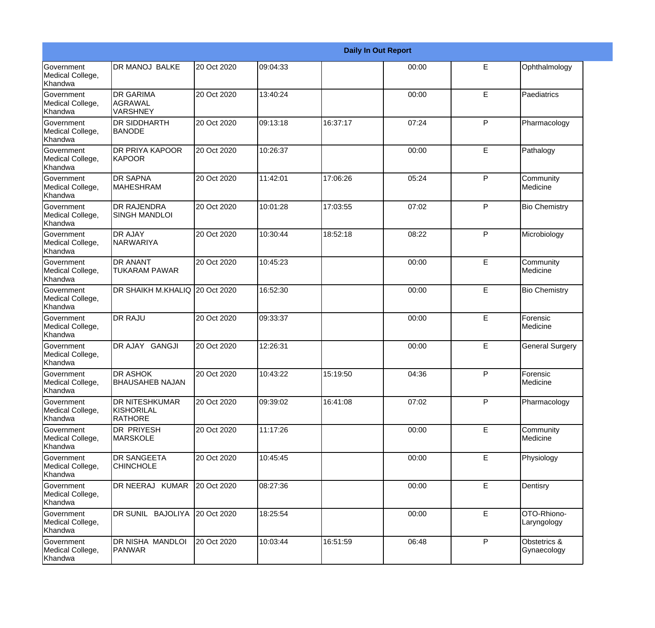|                                           |                                                       |             |          |          | <b>Daily In Out Report</b> |   |                             |
|-------------------------------------------|-------------------------------------------------------|-------------|----------|----------|----------------------------|---|-----------------------------|
| Government<br>Medical College,<br>Khandwa | <b>DR MANOJ BALKE</b>                                 | 20 Oct 2020 | 09:04:33 |          | 00:00                      | E | Ophthalmology               |
| Government<br>Medical College,<br>Khandwa | <b>DR GARIMA</b><br><b>AGRAWAL</b><br><b>VARSHNEY</b> | 20 Oct 2020 | 13:40:24 |          | 00:00                      | E | Paediatrics                 |
| Government<br>Medical College,<br>Khandwa | <b>DR SIDDHARTH</b><br><b>BANODE</b>                  | 20 Oct 2020 | 09:13:18 | 16:37:17 | 07:24                      | P | Pharmacology                |
| Government<br>Medical College,<br>Khandwa | <b>DR PRIYA KAPOOR</b><br>KAPOOR                      | 20 Oct 2020 | 10:26:37 |          | 00:00                      | E | Pathalogy                   |
| Government<br>Medical College,<br>Khandwa | <b>DR SAPNA</b><br><b>MAHESHRAM</b>                   | 20 Oct 2020 | 11:42:01 | 17:06:26 | 05:24                      | P | Community<br>Medicine       |
| Government<br>Medical College,<br>Khandwa | <b>DR RAJENDRA</b><br><b>SINGH MANDLOI</b>            | 20 Oct 2020 | 10:01:28 | 17:03:55 | 07:02                      | P | <b>Bio Chemistry</b>        |
| Government<br>Medical College,<br>Khandwa | <b>DR AJAY</b><br>INARWARIYA                          | 20 Oct 2020 | 10:30:44 | 18:52:18 | 08:22                      | P | Microbiology                |
| Government<br>Medical College,<br>Khandwa | <b>DR ANANT</b><br><b>TUKARAM PAWAR</b>               | 20 Oct 2020 | 10:45:23 |          | 00:00                      | E | Community<br>Medicine       |
| Government<br>Medical College,<br>Khandwa | DR SHAIKH M.KHALIQ 20 Oct 2020                        |             | 16:52:30 |          | 00:00                      | E | <b>Bio Chemistry</b>        |
| Government<br>Medical College,<br>Khandwa | <b>DR RAJU</b>                                        | 20 Oct 2020 | 09:33:37 |          | 00:00                      | E | Forensic<br>Medicine        |
| Government<br>Medical College,<br>Khandwa | DR AJAY GANGJI                                        | 20 Oct 2020 | 12:26:31 |          | 00:00                      | E | <b>General Surgery</b>      |
| Government<br>Medical College,<br>Khandwa | <b>DR ASHOK</b><br><b>BHAUSAHEB NAJAN</b>             | 20 Oct 2020 | 10:43:22 | 15:19:50 | 04:36                      | P | Forensic<br>Medicine        |
| Government<br>Medical College,<br>Khandwa | <b>DR NITESHKUMAR</b><br>KISHORILAL<br>RATHORE        | 20 Oct 2020 | 09:39:02 | 16:41:08 | 07:02                      | P | Pharmacology                |
| Government<br>Medical College,<br>Khandwa | <b>DR PRIYESH</b><br><b>MARSKOLE</b>                  | 20 Oct 2020 | 11:17:26 |          | 00:00                      | E | Community<br>Medicine       |
| Government<br>Medical College,<br>Khandwa | <b>DR SANGEETA</b><br><b>CHINCHOLE</b>                | 20 Oct 2020 | 10:45:45 |          | 00:00                      | E | Physiology                  |
| Government<br>Medical College,<br>Khandwa | DR NEERAJ KUMAR                                       | 20 Oct 2020 | 08:27:36 |          | 00:00                      | E | Dentisry                    |
| Government<br>Medical College,<br>Khandwa | DR SUNIL BAJOLIYA                                     | 20 Oct 2020 | 18:25:54 |          | 00:00                      | E | OTO-Rhiono-<br>Laryngology  |
| Government<br>Medical College,<br>Khandwa | DR NISHA MANDLOI<br><b>PANWAR</b>                     | 20 Oct 2020 | 10:03:44 | 16:51:59 | 06:48                      | P | Obstetrics &<br>Gynaecology |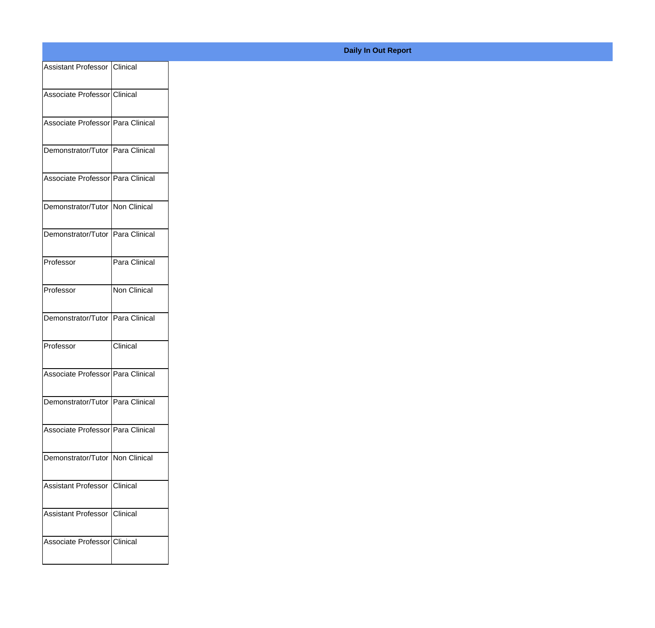| Assistant Professor Clinical      |               |
|-----------------------------------|---------------|
|                                   |               |
| Associate Professor Clinical      |               |
| Associate Professor Para Clinical |               |
| Demonstrator/Tutor Para Clinical  |               |
|                                   |               |
| Associate Professor Para Clinical |               |
| Demonstrator/Tutor Non Clinical   |               |
|                                   |               |
| Demonstrator/Tutor Para Clinical  |               |
| Professor                         | Para Clinical |
| Professor                         | Non Clinical  |
|                                   |               |
| Demonstrator/Tutor Para Clinical  |               |
| Professor                         | Clinical      |
|                                   |               |
| Associate Professor Para Clinical |               |
| Demonstrator/Tutor Para Clinical  |               |
| Associate Professor Para Clinical |               |
|                                   |               |
| Demonstrator/Tutor Non Clinical   |               |
| Assistant Professor Clinical      |               |
|                                   |               |
| Assistant Professor Clinical      |               |
| Associate Professor Clinical      |               |
|                                   |               |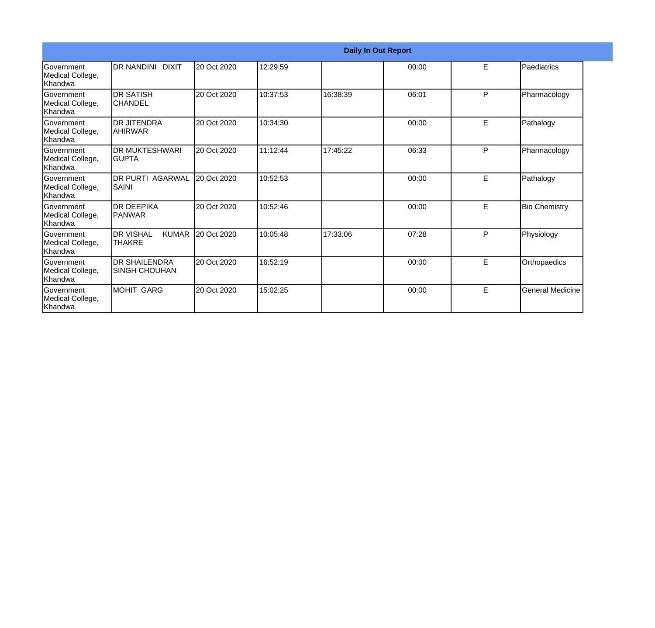|                                                  |                                                   |             |          |          | <b>Daily In Out Report</b> |   |                         |
|--------------------------------------------------|---------------------------------------------------|-------------|----------|----------|----------------------------|---|-------------------------|
| <b>Government</b><br>Medical College,<br>Khandwa | DR NANDINI DIXIT                                  | 20 Oct 2020 | 12:29:59 |          | 00:00                      | E | Paediatrics             |
| Government<br>Medical College,<br>Khandwa        | <b>DR SATISH</b><br><b>CHANDEL</b>                | 20 Oct 2020 | 10:37:53 | 16:38:39 | 06:01                      | P | Pharmacology            |
| Government<br>Medical College,<br>Khandwa        | <b>DR JITENDRA</b><br> AHIRWAR                    | 20 Oct 2020 | 10:34:30 |          | 00:00                      | E | Pathalogy               |
| Government<br>Medical College,<br>Khandwa        | <b>DR MUKTESHWARI</b><br><b>GUPTA</b>             | 20 Oct 2020 | 11:12:44 | 17:45:22 | 06:33                      | P | Pharmacology            |
| Government<br>Medical College,<br>Khandwa        | <b>DR PURTI AGARWAL</b><br>SAINI                  | 20 Oct 2020 | 10:52:53 |          | 00:00                      | E | Pathalogy               |
| <b>Government</b><br>Medical College,<br>Khandwa | <b>DR DEEPIKA</b><br>PANWAR                       | 20 Oct 2020 | 10:52:46 |          | 00:00                      | E | <b>Bio Chemistry</b>    |
| Government<br>Medical College,<br>Khandwa        | <b>DR VISHAL</b><br><b>KUMAR</b><br><b>THAKRE</b> | 20 Oct 2020 | 10:05:48 | 17:33:06 | 07:28                      | P | Physiology              |
| Government<br>Medical College,<br>Khandwa        | <b>DR SHAILENDRA</b><br><b>SINGH CHOUHAN</b>      | 20 Oct 2020 | 16:52:19 |          | 00:00                      | E | Orthopaedics            |
| Government<br>Medical College,<br>Khandwa        | <b>MOHIT GARG</b>                                 | 20 Oct 2020 | 15:02:25 |          | 00:00                      | E | <b>General Medicine</b> |